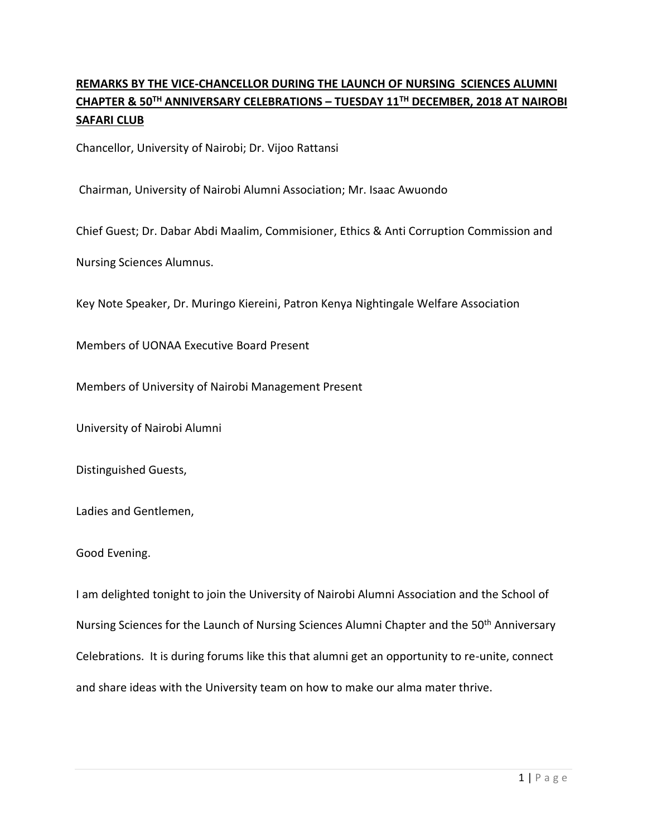## **REMARKS BY THE VICE-CHANCELLOR DURING THE LAUNCH OF NURSING SCIENCES ALUMNI CHAPTER & 50TH ANNIVERSARY CELEBRATIONS – TUESDAY 11TH DECEMBER, 2018 AT NAIROBI SAFARI CLUB**

Chancellor, University of Nairobi; Dr. Vijoo Rattansi

Chairman, University of Nairobi Alumni Association; Mr. Isaac Awuondo

Chief Guest; Dr. Dabar Abdi Maalim, Commisioner, Ethics & Anti Corruption Commission and

Nursing Sciences Alumnus.

Key Note Speaker, Dr. Muringo Kiereini, Patron Kenya Nightingale Welfare Association

Members of UONAA Executive Board Present

Members of University of Nairobi Management Present

University of Nairobi Alumni

Distinguished Guests,

Ladies and Gentlemen,

## Good Evening.

I am delighted tonight to join the University of Nairobi Alumni Association and the School of Nursing Sciences for the Launch of Nursing Sciences Alumni Chapter and the 50<sup>th</sup> Anniversary Celebrations. It is during forums like this that alumni get an opportunity to re-unite, connect and share ideas with the University team on how to make our alma mater thrive.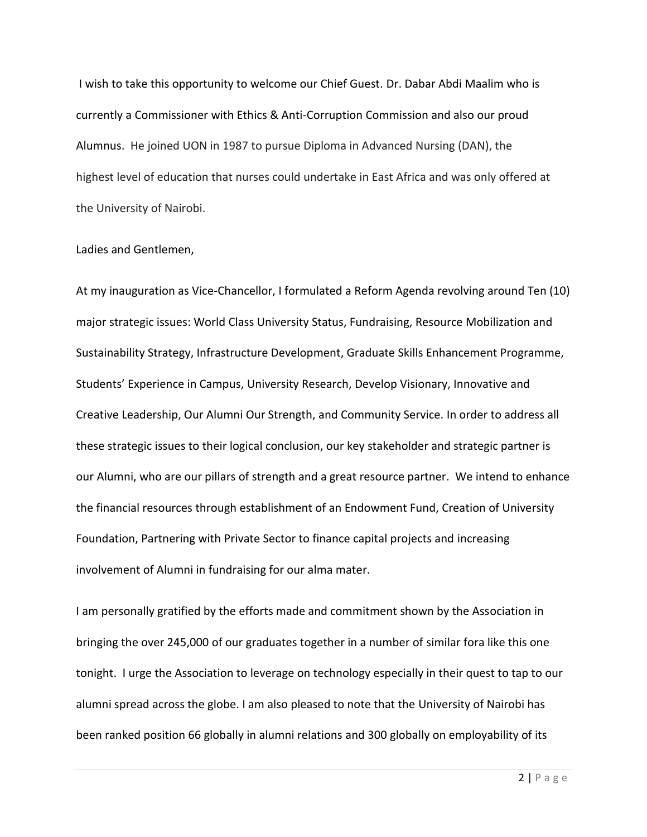I wish to take this opportunity to welcome our Chief Guest. Dr. Dabar Abdi Maalim who is currently a Commissioner with Ethics & Anti-Corruption Commission and also our proud Alumnus. He joined UON in 1987 to pursue Diploma in Advanced Nursing (DAN), the highest level of education that nurses could undertake in East Africa and was only offered at the University of Nairobi.

## Ladies and Gentlemen,

At my inauguration as Vice-Chancellor, I formulated a Reform Agenda revolving around Ten (10) major strategic issues: World Class University Status, Fundraising, Resource Mobilization and Sustainability Strategy, Infrastructure Development, Graduate Skills Enhancement Programme, Students' Experience in Campus, University Research, Develop Visionary, Innovative and Creative Leadership, Our Alumni Our Strength, and Community Service. In order to address all these strategic issues to their logical conclusion, our key stakeholder and strategic partner is our Alumni, who are our pillars of strength and a great resource partner. We intend to enhance the financial resources through establishment of an Endowment Fund, Creation of University Foundation, Partnering with Private Sector to finance capital projects and increasing involvement of Alumni in fundraising for our alma mater.

I am personally gratified by the efforts made and commitment shown by the Association in bringing the over 245,000 of our graduates together in a number of similar fora like this one tonight. I urge the Association to leverage on technology especially in their quest to tap to our alumni spread across the globe. I am also pleased to note that the University of Nairobi has been ranked position 66 globally in alumni relations and 300 globally on employability of its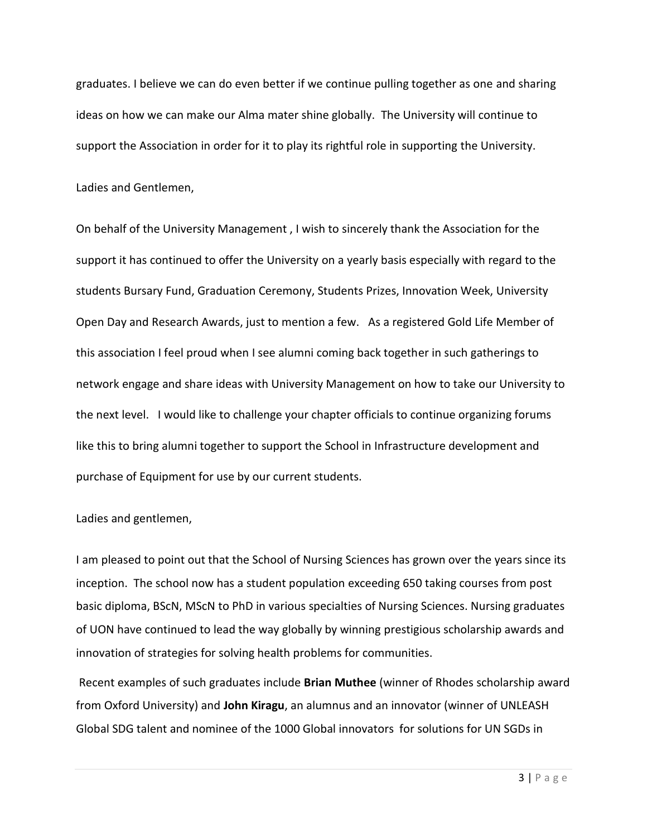graduates. I believe we can do even better if we continue pulling together as one and sharing ideas on how we can make our Alma mater shine globally. The University will continue to support the Association in order for it to play its rightful role in supporting the University.

Ladies and Gentlemen,

On behalf of the University Management , I wish to sincerely thank the Association for the support it has continued to offer the University on a yearly basis especially with regard to the students Bursary Fund, Graduation Ceremony, Students Prizes, Innovation Week, University Open Day and Research Awards, just to mention a few. As a registered Gold Life Member of this association I feel proud when I see alumni coming back together in such gatherings to network engage and share ideas with University Management on how to take our University to the next level. I would like to challenge your chapter officials to continue organizing forums like this to bring alumni together to support the School in Infrastructure development and purchase of Equipment for use by our current students.

Ladies and gentlemen,

I am pleased to point out that the School of Nursing Sciences has grown over the years since its inception. The school now has a student population exceeding 650 taking courses from post basic diploma, BScN, MScN to PhD in various specialties of Nursing Sciences. Nursing graduates of UON have continued to lead the way globally by winning prestigious scholarship awards and innovation of strategies for solving health problems for communities.

Recent examples of such graduates include **Brian Muthee** (winner of Rhodes scholarship award from Oxford University) and **John Kiragu**, an alumnus and an innovator (winner of UNLEASH Global SDG talent and nominee of the 1000 Global innovators for solutions for UN SGDs in